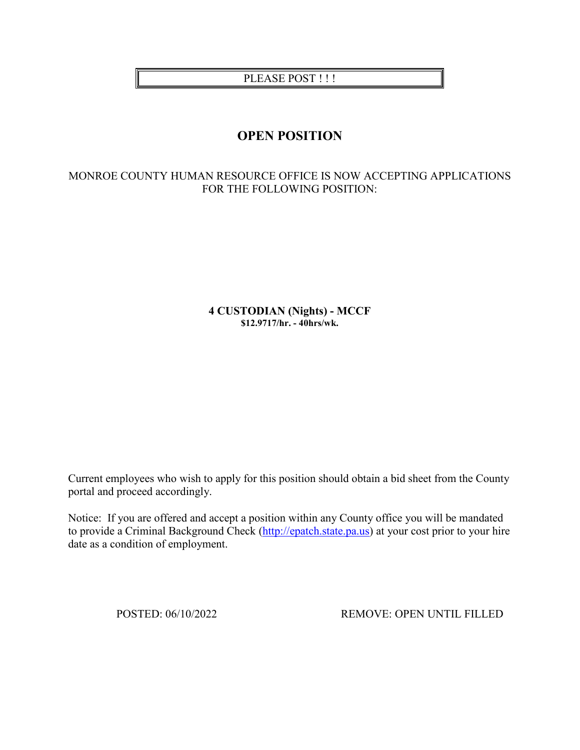## PLEASE POST!!!

# **OPEN POSITION**

## MONROE COUNTY HUMAN RESOURCE OFFICE IS NOW ACCEPTING APPLICATIONS FOR THE FOLLOWING POSITION:

**4 CUSTODIAN (Nights) - MCCF \$12.9717/hr. - 40hrs/wk.**

Current employees who wish to apply for this position should obtain a bid sheet from the County portal and proceed accordingly.

Notice: If you are offered and accept a position within any County office you will be mandated to provide a Criminal Background Check [\(http://epatch.state.pa.us\)](http://epatch.state.pa.us/) at your cost prior to your hire date as a condition of employment.

POSTED: 06/10/2022 REMOVE: OPEN UNTIL FILLED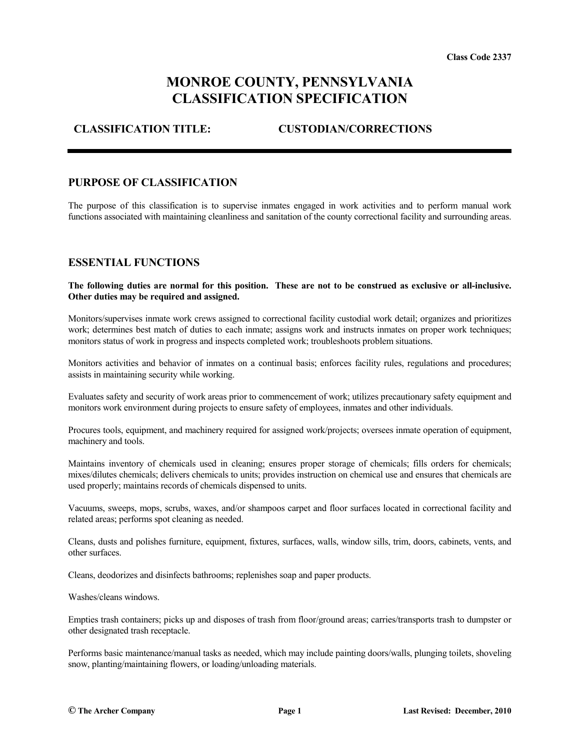# **MONROE COUNTY, PENNSYLVANIA CLASSIFICATION SPECIFICATION**

## **CLASSIFICATION TITLE: CUSTODIAN/CORRECTIONS**

#### **PURPOSE OF CLASSIFICATION**

The purpose of this classification is to supervise inmates engaged in work activities and to perform manual work functions associated with maintaining cleanliness and sanitation of the county correctional facility and surrounding areas.

#### **ESSENTIAL FUNCTIONS**

**The following duties are normal for this position. These are not to be construed as exclusive or all-inclusive. Other duties may be required and assigned.**

Monitors/supervises inmate work crews assigned to correctional facility custodial work detail; organizes and prioritizes work; determines best match of duties to each inmate; assigns work and instructs inmates on proper work techniques; monitors status of work in progress and inspects completed work; troubleshoots problem situations.

Monitors activities and behavior of inmates on a continual basis; enforces facility rules, regulations and procedures; assists in maintaining security while working.

Evaluates safety and security of work areas prior to commencement of work; utilizes precautionary safety equipment and monitors work environment during projects to ensure safety of employees, inmates and other individuals.

Procures tools, equipment, and machinery required for assigned work/projects; oversees inmate operation of equipment, machinery and tools.

Maintains inventory of chemicals used in cleaning; ensures proper storage of chemicals; fills orders for chemicals; mixes/dilutes chemicals; delivers chemicals to units; provides instruction on chemical use and ensures that chemicals are used properly; maintains records of chemicals dispensed to units.

Vacuums, sweeps, mops, scrubs, waxes, and/or shampoos carpet and floor surfaces located in correctional facility and related areas; performs spot cleaning as needed.

Cleans, dusts and polishes furniture, equipment, fixtures, surfaces, walls, window sills, trim, doors, cabinets, vents, and other surfaces.

Cleans, deodorizes and disinfects bathrooms; replenishes soap and paper products.

Washes/cleans windows.

Empties trash containers; picks up and disposes of trash from floor/ground areas; carries/transports trash to dumpster or other designated trash receptacle.

Performs basic maintenance/manual tasks as needed, which may include painting doors/walls, plunging toilets, shoveling snow, planting/maintaining flowers, or loading/unloading materials.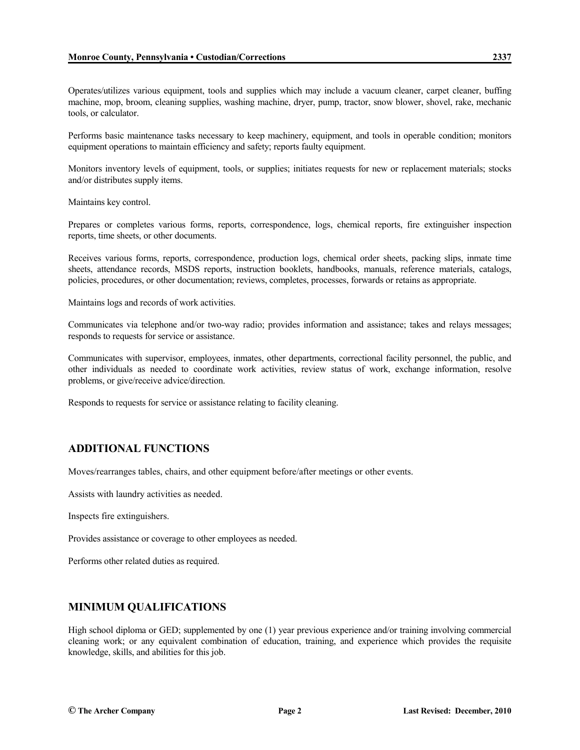Operates/utilizes various equipment, tools and supplies which may include a vacuum cleaner, carpet cleaner, buffing machine, mop, broom, cleaning supplies, washing machine, dryer, pump, tractor, snow blower, shovel, rake, mechanic tools, or calculator.

Performs basic maintenance tasks necessary to keep machinery, equipment, and tools in operable condition; monitors equipment operations to maintain efficiency and safety; reports faulty equipment.

Monitors inventory levels of equipment, tools, or supplies; initiates requests for new or replacement materials; stocks and/or distributes supply items.

Maintains key control.

Prepares or completes various forms, reports, correspondence, logs, chemical reports, fire extinguisher inspection reports, time sheets, or other documents.

Receives various forms, reports, correspondence, production logs, chemical order sheets, packing slips, inmate time sheets, attendance records, MSDS reports, instruction booklets, handbooks, manuals, reference materials, catalogs, policies, procedures, or other documentation; reviews, completes, processes, forwards or retains as appropriate.

Maintains logs and records of work activities.

Communicates via telephone and/or two-way radio; provides information and assistance; takes and relays messages; responds to requests for service or assistance.

Communicates with supervisor, employees, inmates, other departments, correctional facility personnel, the public, and other individuals as needed to coordinate work activities, review status of work, exchange information, resolve problems, or give/receive advice/direction.

Responds to requests for service or assistance relating to facility cleaning.

## **ADDITIONAL FUNCTIONS**

Moves/rearranges tables, chairs, and other equipment before/after meetings or other events.

Assists with laundry activities as needed.

Inspects fire extinguishers.

Provides assistance or coverage to other employees as needed.

Performs other related duties as required.

## **MINIMUM QUALIFICATIONS**

High school diploma or GED; supplemented by one (1) year previous experience and/or training involving commercial cleaning work; or any equivalent combination of education, training, and experience which provides the requisite knowledge, skills, and abilities for this job.